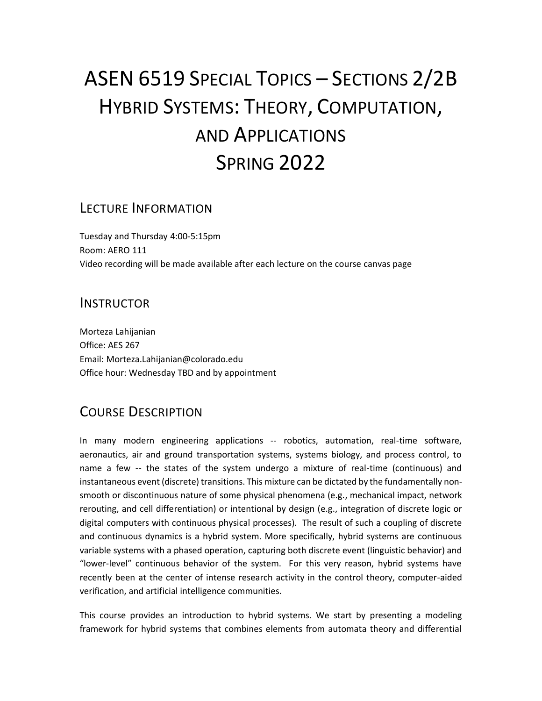# ASEN 6519 SPECIAL TOPICS – SECTIONS 2/2B HYBRID SYSTEMS: THEORY, COMPUTATION, AND APPLICATIONS SPRING 2022

#### LECTURE INFORMATION

Tuesday and Thursday 4:00-5:15pm Room: AERO 111 Video recording will be made available after each lecture on the course canvas page

#### INSTRUCTOR

Morteza Lahijanian Office: AES 267 Email: Morteza.Lahijanian@colorado.edu Office hour: Wednesday TBD and by appointment

# COURSE DESCRIPTION

In many modern engineering applications -- robotics, automation, real-time software, aeronautics, air and ground transportation systems, systems biology, and process control, to name a few -- the states of the system undergo a mixture of real-time (continuous) and instantaneous event (discrete) transitions. This mixture can be dictated by the fundamentally nonsmooth or discontinuous nature of some physical phenomena (e.g., mechanical impact, network rerouting, and cell differentiation) or intentional by design (e.g., integration of discrete logic or digital computers with continuous physical processes). The result of such a coupling of discrete and continuous dynamics is a hybrid system. More specifically, hybrid systems are continuous variable systems with a phased operation, capturing both discrete event (linguistic behavior) and "lower-level" continuous behavior of the system. For this very reason, hybrid systems have recently been at the center of intense research activity in the control theory, computer-aided verification, and artificial intelligence communities.

This course provides an introduction to hybrid systems. We start by presenting a modeling framework for hybrid systems that combines elements from automata theory and differential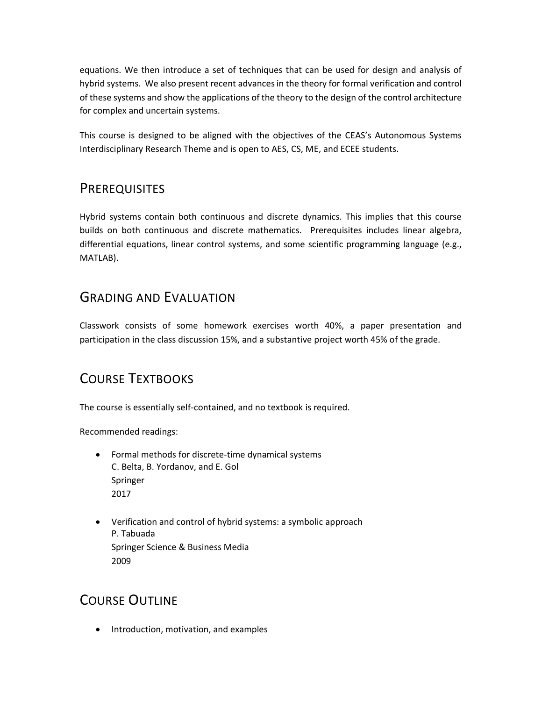equations. We then introduce a set of techniques that can be used for design and analysis of hybrid systems. We also present recent advances in the theory for formal verification and control of these systems and show the applications of the theory to the design of the control architecture for complex and uncertain systems.

This course is designed to be aligned with the objectives of the CEAS's Autonomous Systems Interdisciplinary Research Theme and is open to AES, CS, ME, and ECEE students.

#### **PREREQUISITES**

Hybrid systems contain both continuous and discrete dynamics. This implies that this course builds on both continuous and discrete mathematics. Prerequisites includes linear algebra, differential equations, linear control systems, and some scientific programming language (e.g., MATLAB).

#### GRADING AND EVALUATION

Classwork consists of some homework exercises worth 40%, a paper presentation and participation in the class discussion 15%, and a substantive project worth 45% of the grade.

# COURSE TEXTBOOKS

The course is essentially self-contained, and no textbook is required.

Recommended readings:

- Formal methods for discrete-time dynamical systems C. Belta, B. Yordanov, and E. Gol Springer 2017
- Verification and control of hybrid systems: a symbolic approach P. Tabuada Springer Science & Business Media 2009

#### COURSE OUTLINE

• Introduction, motivation, and examples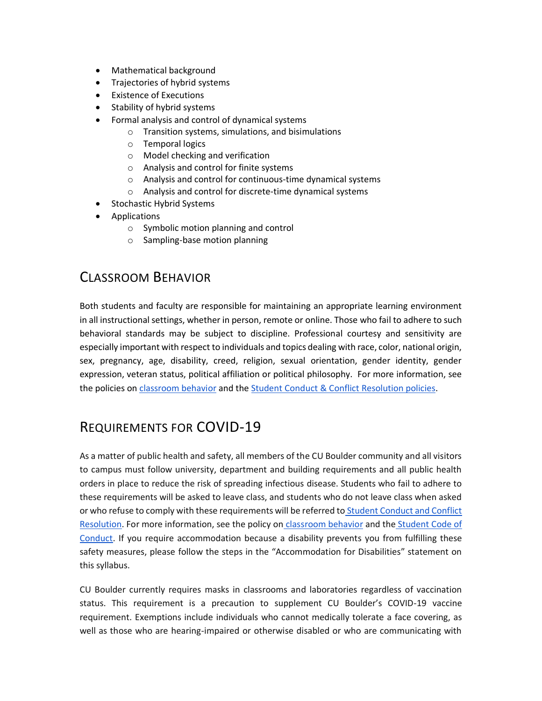- Mathematical background
- Trajectories of hybrid systems
- Existence of Executions
- Stability of hybrid systems
- Formal analysis and control of dynamical systems
	- o Transition systems, simulations, and bisimulations
	- o Temporal logics
	- o Model checking and verification
	- o Analysis and control for finite systems
	- o Analysis and control for continuous-time dynamical systems
	- o Analysis and control for discrete-time dynamical systems
- Stochastic Hybrid Systems
- Applications
	- o Symbolic motion planning and control
	- o Sampling-base motion planning

#### CLASSROOM BEHAVIOR

Both students and faculty are responsible for maintaining an appropriate learning environment in all instructional settings, whether in person, remote or online. Those who fail to adhere to such behavioral standards may be subject to discipline. Professional courtesy and sensitivity are especially important with respect to individuals and topics dealing with race, color, national origin, sex, pregnancy, age, disability, creed, religion, sexual orientation, gender identity, gender expression, veteran status, political affiliation or political philosophy. For more information, see the policies on [classroom behavior](http://www.colorado.edu/policies/student-classroom-and-course-related-behavior) and th[e](https://www.colorado.edu/sccr/student-conduct) [Student Conduct & Conflict Resolution policies.](https://www.colorado.edu/sccr/student-conduct)

# REQUIREMENTS FOR COVID-19

As a matter of public health and safety, all members of the CU Boulder community and all visitors to campus must follow university, department and building requirements and all public health orders in place to reduce the risk of spreading infectious disease. Students who fail to adhere to these requirements will be asked to leave class, and students who do not leave class when asked or who refuse to comply with these requirements will be referred to [Student Conduct and Conflict](https://www.colorado.edu/sccr/)  [Resolution.](https://www.colorado.edu/sccr/) For more information, see the policy on [classroom behavior](http://www.colorado.edu/policies/student-classroom-and-course-related-behavior) and the [Student Code of](http://www.colorado.edu/osccr/)  [Conduct.](http://www.colorado.edu/osccr/) If you require accommodation because a disability prevents you from fulfilling these safety measures, please follow the steps in the "Accommodation for Disabilities" statement on this syllabus.

CU Boulder currently requires masks in classrooms and laboratories regardless of vaccination status. This requirement is a precaution to supplement CU Boulder's COVID-19 vaccine requirement. Exemptions include individuals who cannot medically tolerate a face covering, as well as those who are hearing-impaired or otherwise disabled or who are communicating with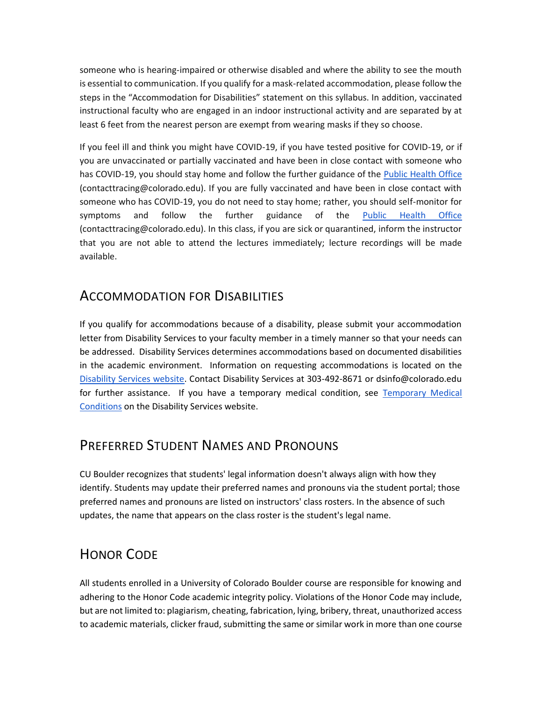someone who is hearing-impaired or otherwise disabled and where the ability to see the mouth is essential to communication. If you qualify for a mask-related accommodation, please follow the steps in the "Accommodation for Disabilities" statement on this syllabus. In addition, vaccinated instructional faculty who are engaged in an indoor instructional activity and are separated by at least 6 feet from the nearest person are exempt from wearing masks if they so choose.

If you feel ill and think you might have COVID-19, if you have tested positive for COVID-19, or if you are unvaccinated or partially vaccinated and have been in close contact with someone who has COVID-19, you should stay home and follow the further guidance of th[e](https://www.colorado.edu/health/public-health/quarantine-and-isolation) [Public Health Office](https://www.colorado.edu/health/public-health/quarantine-and-isolation) (contacttracing@colorado.edu). If you are fully vaccinated and have been in close contact with someone who has COVID-19, you do not need to stay home; rather, you should self-monitor for symptoms and follow the further guidance of the [Public Health Office](https://www.colorado.edu/health/public-health/quarantine-and-isolation) (contacttracing@colorado.edu). In this class, if you are sick or quarantined, inform the instructor that you are not able to attend the lectures immediately; lecture recordings will be made available.

#### ACCOMMODATION FOR DISABILITIES

If you qualify for accommodations because of a disability, please submit your accommodation letter from Disability Services to your faculty member in a timely manner so that your needs can be addressed. Disability Services determines accommodations based on documented disabilities in the academic environment. Information on requesting accommodations is located on th[e](https://www.colorado.edu/disabilityservices/) [Disability Services website.](https://www.colorado.edu/disabilityservices/) Contact Disability Services at 303-492-8671 or dsinfo@colorado.edu for further assistance. If you have a temporary medical condition, se[e](http://www.colorado.edu/disabilityservices/students/temporary-medical-conditions) [Temporary Medical](http://www.colorado.edu/disabilityservices/students/temporary-medical-conditions)  [Conditions](http://www.colorado.edu/disabilityservices/students/temporary-medical-conditions) on the Disability Services website.

#### PREFERRED STUDENT NAMES AND PRONOUNS

CU Boulder recognizes that students' legal information doesn't always align with how they identify. Students may update their preferred names and pronouns via the student portal; those preferred names and pronouns are listed on instructors' class rosters. In the absence of such updates, the name that appears on the class roster is the student's legal name.

# HONOR CODE

All students enrolled in a University of Colorado Boulder course are responsible for knowing and adhering to the Honor Code academic integrity policy. Violations of the Honor Code may include, but are not limited to: plagiarism, cheating, fabrication, lying, bribery, threat, unauthorized access to academic materials, clicker fraud, submitting the same or similar work in more than one course